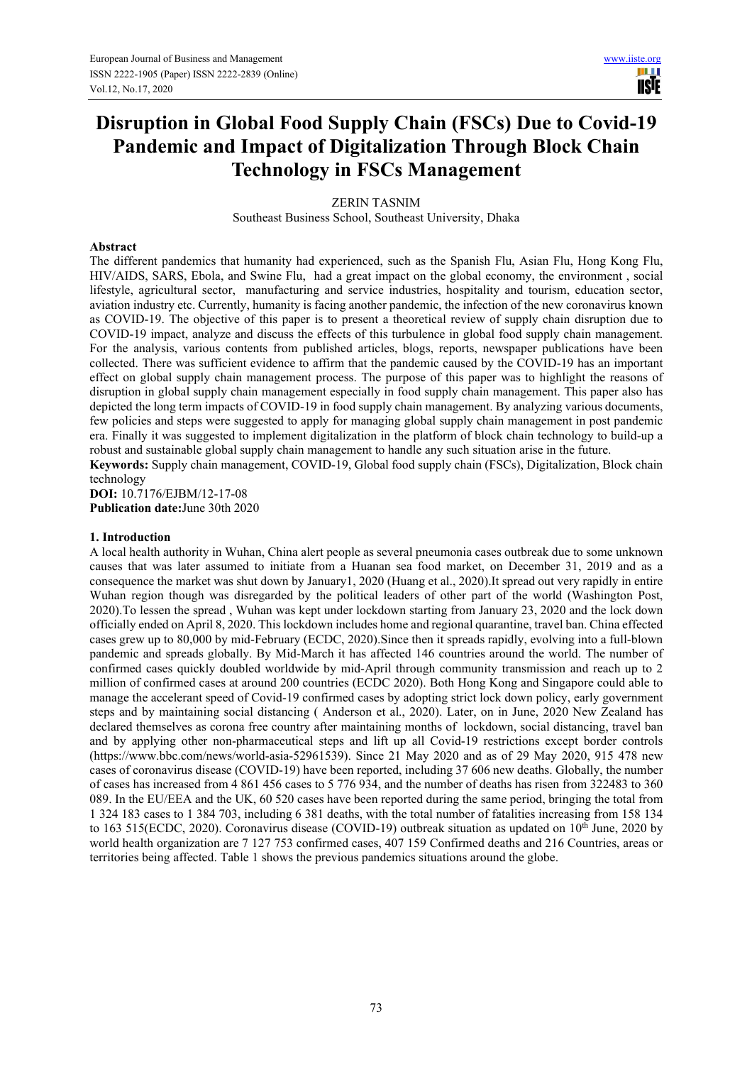III I **TISTE** 

# **Disruption in Global Food Supply Chain (FSCs) Due to Covid-19 Pandemic and Impact of Digitalization Through Block Chain Technology in FSCs Management**

ZERIN TASNIM Southeast Business School, Southeast University, Dhaka

#### **Abstract**

The different pandemics that humanity had experienced, such as the Spanish Flu, Asian Flu, Hong Kong Flu, HIV/AIDS, SARS, Ebola, and Swine Flu, had a great impact on the global economy, the environment , social lifestyle, agricultural sector, manufacturing and service industries, hospitality and tourism, education sector, aviation industry etc. Currently, humanity is facing another pandemic, the infection of the new coronavirus known as COVID-19. The objective of this paper is to present a theoretical review of supply chain disruption due to COVID-19 impact, analyze and discuss the effects of this turbulence in global food supply chain management. For the analysis, various contents from published articles, blogs, reports, newspaper publications have been collected. There was sufficient evidence to affirm that the pandemic caused by the COVID-19 has an important effect on global supply chain management process. The purpose of this paper was to highlight the reasons of disruption in global supply chain management especially in food supply chain management. This paper also has depicted the long term impacts of COVID-19 in food supply chain management. By analyzing various documents, few policies and steps were suggested to apply for managing global supply chain management in post pandemic era. Finally it was suggested to implement digitalization in the platform of block chain technology to build-up a robust and sustainable global supply chain management to handle any such situation arise in the future.

**Keywords:** Supply chain management, COVID-19, Global food supply chain (FSCs), Digitalization, Block chain technology

**DOI:** 10.7176/EJBM/12-17-08 **Publication date:**June 30th 2020

#### **1. Introduction**

A local health authority in Wuhan, China alert people as several pneumonia cases outbreak due to some unknown causes that was later assumed to initiate from a Huanan sea food market, on December 31, 2019 and as a consequence the market was shut down by January1, 2020 (Huang et al., 2020).It spread out very rapidly in entire Wuhan region though was disregarded by the political leaders of other part of the world (Washington Post, 2020).To lessen the spread , Wuhan was kept under lockdown starting from January 23, 2020 and the lock down officially ended on April 8, 2020. This lockdown includes home and regional quarantine, travel ban. China effected cases grew up to 80,000 by mid-February (ECDC, 2020).Since then it spreads rapidly, evolving into a full-blown pandemic and spreads globally. By Mid-March it has affected 146 countries around the world. The number of confirmed cases quickly doubled worldwide by mid-April through community transmission and reach up to 2 million of confirmed cases at around 200 countries (ECDC 2020). Both Hong Kong and Singapore could able to manage the accelerant speed of Covid-19 confirmed cases by adopting strict lock down policy, early government steps and by maintaining social distancing ( Anderson et al., 2020). Later, on in June, 2020 New Zealand has declared themselves as corona free country after maintaining months of lockdown, social distancing, travel ban and by applying other non-pharmaceutical steps and lift up all Covid-19 restrictions except border controls (https://www.bbc.com/news/world-asia-52961539). Since 21 May 2020 and as of 29 May 2020, 915 478 new cases of coronavirus disease (COVID-19) have been reported, including 37 606 new deaths. Globally, the number of cases has increased from 4 861 456 cases to 5 776 934, and the number of deaths has risen from 322483 to 360 089. In the EU/EEA and the UK, 60 520 cases have been reported during the same period, bringing the total from 1 324 183 cases to 1 384 703, including 6 381 deaths, with the total number of fatalities increasing from 158 134 to 163 515(ECDC, 2020). Coronavirus disease (COVID-19) outbreak situation as updated on  $10^{th}$  June, 2020 by world health organization are 7 127 753 confirmed cases, 407 159 Confirmed deaths and 216 Countries, areas or territories being affected. Table 1 shows the previous pandemics situations around the globe.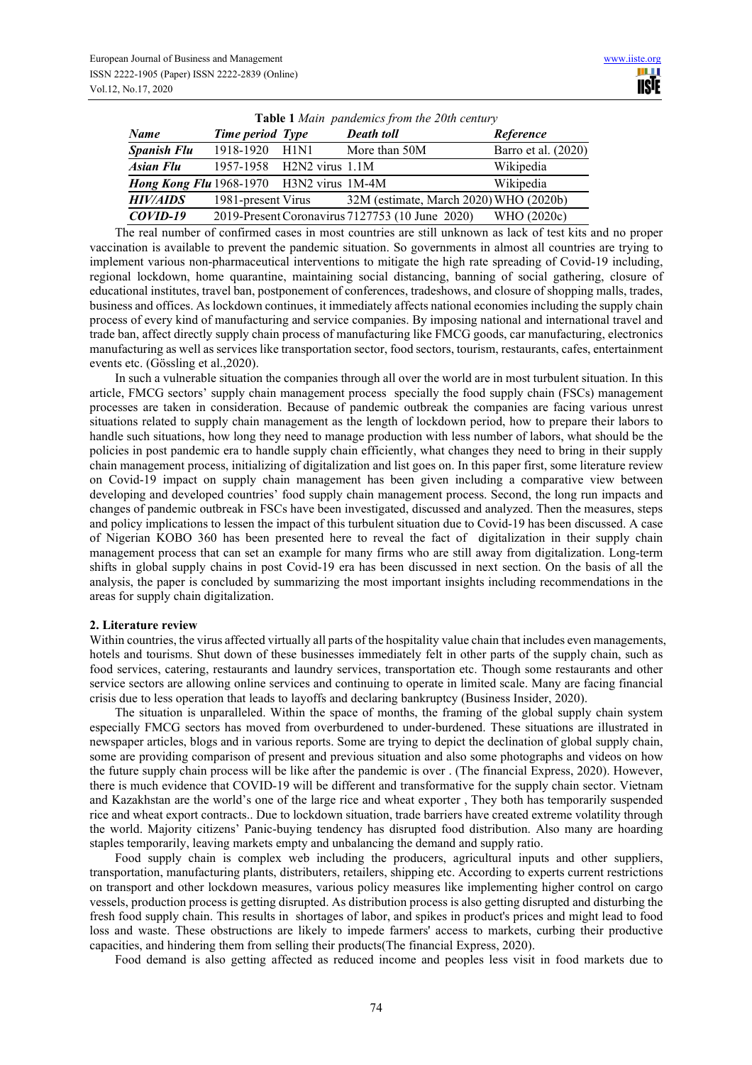| <b>Table 1</b> Main pandemics from the 20th century |                           |  |                                                 |                     |  |
|-----------------------------------------------------|---------------------------|--|-------------------------------------------------|---------------------|--|
| <b>Name</b>                                         | Time period Type          |  | <b>Death toll</b>                               | Reference           |  |
| <b>Spanish Flu</b>                                  | 1918-1920 H1N1            |  | More than 50M                                   | Barro et al. (2020) |  |
| <b>Asian Flu</b>                                    | 1957-1958 H2N2 virus 1.1M |  |                                                 | Wikipedia           |  |
| Hong Kong Flu 1968-1970 H3N2 virus 1M-4M            |                           |  |                                                 | Wikipedia           |  |
| <b>HIV/AIDS</b>                                     | 1981-present Virus        |  | 32M (estimate, March 2020) WHO (2020b)          |                     |  |
| $COVID-19$                                          |                           |  | 2019-Present Coronavirus 7127753 (10 June 2020) | WHO (2020c)         |  |

The real number of confirmed cases in most countries are still unknown as lack of test kits and no proper vaccination is available to prevent the pandemic situation. So governments in almost all countries are trying to implement various non-pharmaceutical interventions to mitigate the high rate spreading of Covid-19 including, regional lockdown, home quarantine, maintaining social distancing, banning of social gathering, closure of educational institutes, travel ban, postponement of conferences, tradeshows, and closure of shopping malls, trades, business and offices. As lockdown continues, it immediately affects national economies including the supply chain process of every kind of manufacturing and service companies. By imposing national and international travel and trade ban, affect directly supply chain process of manufacturing like FMCG goods, car manufacturing, electronics manufacturing as well as services like transportation sector, food sectors, tourism, restaurants, cafes, entertainment events etc. (Gössling et al.,2020).

In such a vulnerable situation the companies through all over the world are in most turbulent situation. In this article, FMCG sectors' supply chain management process specially the food supply chain (FSCs) management processes are taken in consideration. Because of pandemic outbreak the companies are facing various unrest situations related to supply chain management as the length of lockdown period, how to prepare their labors to handle such situations, how long they need to manage production with less number of labors, what should be the policies in post pandemic era to handle supply chain efficiently, what changes they need to bring in their supply chain management process, initializing of digitalization and list goes on. In this paper first, some literature review on Covid-19 impact on supply chain management has been given including a comparative view between developing and developed countries' food supply chain management process. Second, the long run impacts and changes of pandemic outbreak in FSCs have been investigated, discussed and analyzed. Then the measures, steps and policy implications to lessen the impact of this turbulent situation due to Covid-19 has been discussed. A case of Nigerian KOBO 360 has been presented here to reveal the fact of digitalization in their supply chain management process that can set an example for many firms who are still away from digitalization. Long-term shifts in global supply chains in post Covid-19 era has been discussed in next section. On the basis of all the analysis, the paper is concluded by summarizing the most important insights including recommendations in the areas for supply chain digitalization.

#### **2. Literature review**

Within countries, the virus affected virtually all parts of the hospitality value chain that includes even managements, hotels and tourisms. Shut down of these businesses immediately felt in other parts of the supply chain, such as food services, catering, restaurants and laundry services, transportation etc. Though some restaurants and other service sectors are allowing online services and continuing to operate in limited scale. Many are facing financial crisis due to less operation that leads to layoffs and declaring bankruptcy (Business Insider, 2020).

The situation is unparalleled. Within the space of months, the framing of the global supply chain system especially FMCG sectors has moved from overburdened to under-burdened. These situations are illustrated in newspaper articles, blogs and in various reports. Some are trying to depict the declination of global supply chain, some are providing comparison of present and previous situation and also some photographs and videos on how the future supply chain process will be like after the pandemic is over . (The financial Express, 2020). However, there is much evidence that COVID-19 will be different and transformative for the supply chain sector. Vietnam and Kazakhstan are the world's one of the large rice and wheat exporter , They both has temporarily suspended rice and wheat export contracts.. Due to lockdown situation, trade barriers have created extreme volatility through the world. Majority citizens' Panic-buying tendency has disrupted food distribution. Also many are hoarding staples temporarily, leaving markets empty and unbalancing the demand and supply ratio.

Food supply chain is complex web including the producers, agricultural inputs and other suppliers, transportation, manufacturing plants, distributers, retailers, shipping etc. According to experts current restrictions on transport and other lockdown measures, various policy measures like implementing higher control on cargo vessels, production process is getting disrupted. As distribution process is also getting disrupted and disturbing the fresh food supply chain. This results in shortages of labor, and spikes in product's prices and might lead to food loss and waste. These obstructions are likely to impede farmers' access to markets, curbing their productive capacities, and hindering them from selling their products(The financial Express, 2020).

Food demand is also getting affected as reduced income and peoples less visit in food markets due to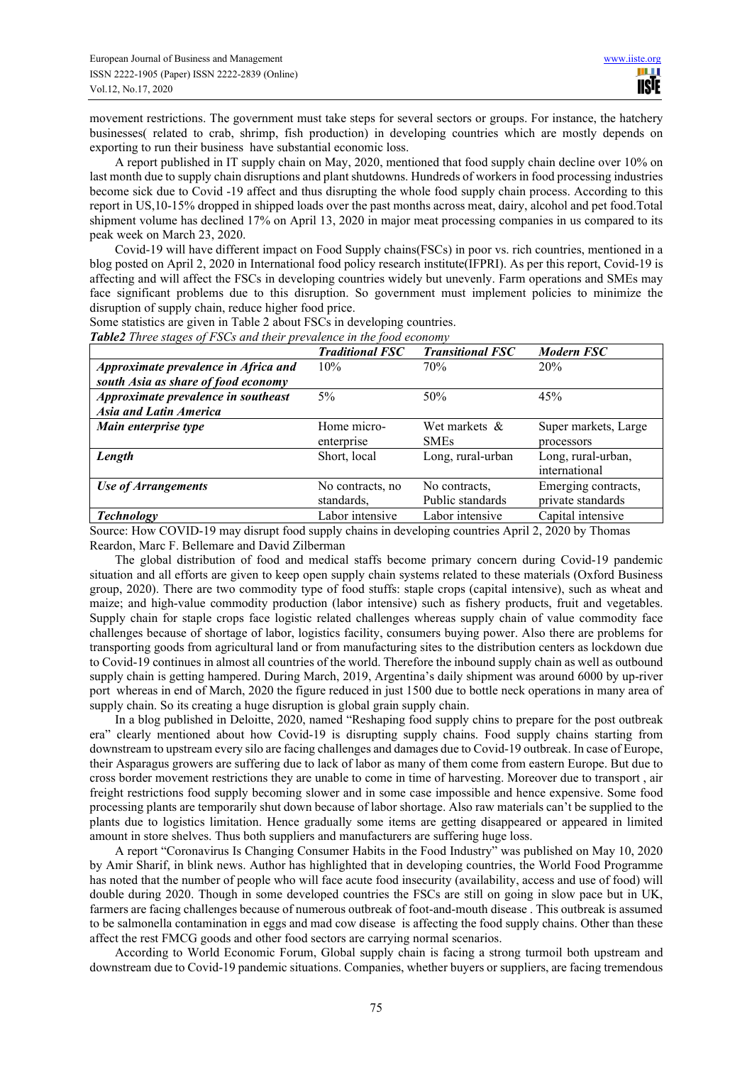movement restrictions. The government must take steps for several sectors or groups. For instance, the hatchery businesses( related to crab, shrimp, fish production) in developing countries which are mostly depends on exporting to run their business have substantial economic loss.

A report published in IT supply chain on May, 2020, mentioned that food supply chain decline over 10% on last month due to supply chain disruptions and plant shutdowns. Hundreds of workers in food processing industries become sick due to Covid -19 affect and thus disrupting the whole food supply chain process. According to this report in US,10-15% dropped in shipped loads over the past months across meat, dairy, alcohol and pet food.Total shipment volume has declined 17% on April 13, 2020 in major meat processing companies in us compared to its peak week on March 23, 2020.

Covid-19 will have different impact on Food Supply chains(FSCs) in poor vs. rich countries, mentioned in a blog posted on April 2, 2020 in International food policy research institute(IFPRI). As per this report, Covid-19 is affecting and will affect the FSCs in developing countries widely but unevenly. Farm operations and SMEs may face significant problems due to this disruption. So government must implement policies to minimize the disruption of supply chain, reduce higher food price.

Some statistics are given in Table 2 about FSCs in developing countries.

|                                                                             | <b>Traditional FSC</b>         | <b>Transitional FSC</b>           | Modern FSC                               |
|-----------------------------------------------------------------------------|--------------------------------|-----------------------------------|------------------------------------------|
| Approximate prevalence in Africa and<br>south Asia as share of food economy | 10%                            | 70%                               | 20%                                      |
| Approximate prevalence in southeast<br><b>Asia and Latin America</b>        | 5%                             | 50%                               | 45%                                      |
| Main enterprise type                                                        | Home micro-<br>enterprise      | Wet markets &<br><b>SMEs</b>      | Super markets, Large<br>processors       |
| Length                                                                      | Short, local                   | Long, rural-urban                 | Long, rural-urban,<br>international      |
| <b>Use of Arrangements</b>                                                  | No contracts, no<br>standards, | No contracts,<br>Public standards | Emerging contracts,<br>private standards |
| <b>Technology</b>                                                           | Labor intensive                | Labor intensive                   | Capital intensive                        |

Source: How COVID-19 may disrupt food supply chains in developing countries April 2, 2020 by Thomas Reardon, Marc F. Bellemare and David Zilberman

The global distribution of food and medical staffs become primary concern during Covid-19 pandemic situation and all efforts are given to keep open supply chain systems related to these materials (Oxford Business group, 2020). There are two commodity type of food stuffs: staple crops (capital intensive), such as wheat and maize; and high-value commodity production (labor intensive) such as fishery products, fruit and vegetables. Supply chain for staple crops face logistic related challenges whereas supply chain of value commodity face challenges because of shortage of labor, logistics facility, consumers buying power. Also there are problems for transporting goods from agricultural land or from manufacturing sites to the distribution centers as lockdown due to Covid-19 continues in almost all countries of the world. Therefore the inbound supply chain as well as outbound supply chain is getting hampered. During March, 2019, Argentina's daily shipment was around 6000 by up-river port whereas in end of March, 2020 the figure reduced in just 1500 due to bottle neck operations in many area of supply chain. So its creating a huge disruption is global grain supply chain.

In a blog published in Deloitte, 2020, named "Reshaping food supply chins to prepare for the post outbreak era" clearly mentioned about how Covid-19 is disrupting supply chains. Food supply chains starting from downstream to upstream every silo are facing challenges and damages due to Covid-19 outbreak. In case of Europe, their Asparagus growers are suffering due to lack of labor as many of them come from eastern Europe. But due to cross border movement restrictions they are unable to come in time of harvesting. Moreover due to transport , air freight restrictions food supply becoming slower and in some case impossible and hence expensive. Some food processing plants are temporarily shut down because of labor shortage. Also raw materials can't be supplied to the plants due to logistics limitation. Hence gradually some items are getting disappeared or appeared in limited amount in store shelves. Thus both suppliers and manufacturers are suffering huge loss.

A report "Coronavirus Is Changing Consumer Habits in the Food Industry" was published on May 10, 2020 by Amir Sharif, in blink news. Author has highlighted that in developing countries, the World Food Programme has noted that the number of people who will face acute food insecurity (availability, access and use of food) will double during 2020. Though in some developed countries the FSCs are still on going in slow pace but in UK, farmers are facing challenges because of numerous outbreak of foot-and-mouth disease . This outbreak is assumed to be salmonella contamination in eggs and mad cow disease is affecting the food supply chains. Other than these affect the rest FMCG goods and other food sectors are carrying normal scenarios.

According to World Economic Forum, Global supply chain is facing a strong turmoil both upstream and downstream due to Covid-19 pandemic situations. Companies, whether buyers or suppliers, are facing tremendous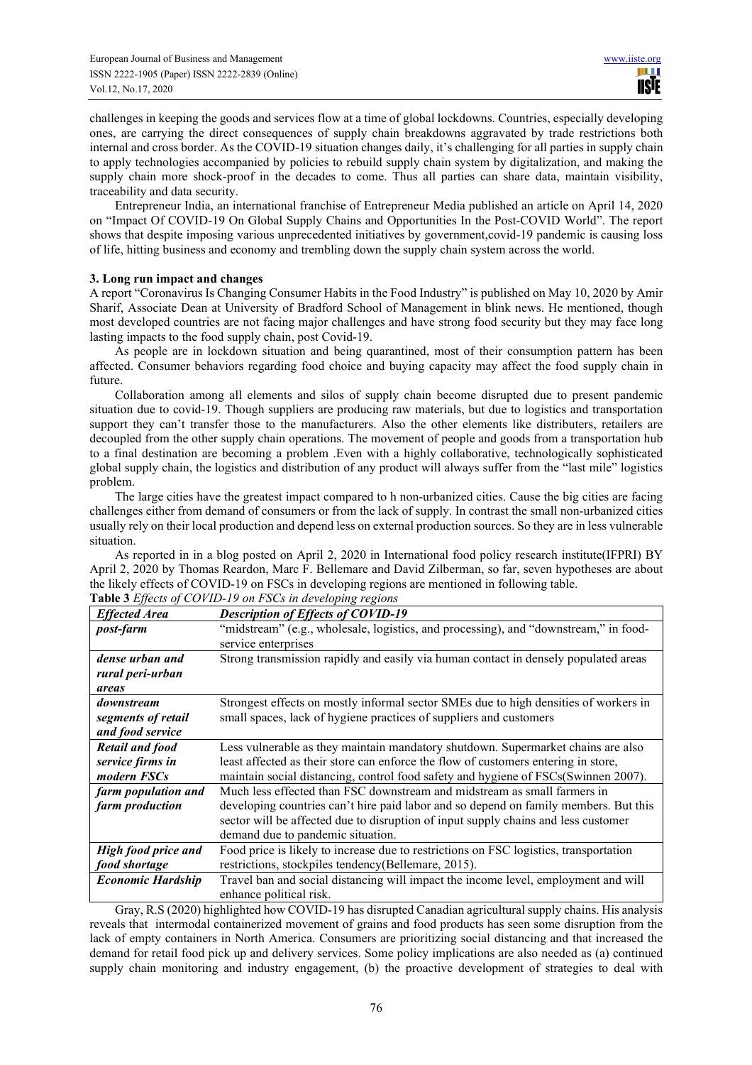challenges in keeping the goods and services flow at a time of global lockdowns. Countries, especially developing ones, are carrying the direct consequences of supply chain breakdowns aggravated by trade restrictions both internal and cross border. As the COVID-19 situation changes daily, it's challenging for all parties in supply chain to apply technologies accompanied by policies to rebuild supply chain system by digitalization, and making the supply chain more shock-proof in the decades to come. Thus all parties can share data, maintain visibility, traceability and data security.

Entrepreneur India, an international franchise of Entrepreneur Media published an article on April 14, 2020 on "Impact Of COVID-19 On Global Supply Chains and Opportunities In the Post-COVID World". The report shows that despite imposing various unprecedented initiatives by government,covid-19 pandemic is causing loss of life, hitting business and economy and trembling down the supply chain system across the world.

## **3. Long run impact and changes**

A report "Coronavirus Is Changing Consumer Habits in the Food Industry" is published on May 10, 2020 by Amir Sharif, Associate Dean at University of Bradford School of Management in blink news. He mentioned, though most developed countries are not facing major challenges and have strong food security but they may face long lasting impacts to the food supply chain, post Covid-19.

As people are in lockdown situation and being quarantined, most of their consumption pattern has been affected. Consumer behaviors regarding food choice and buying capacity may affect the food supply chain in future.

Collaboration among all elements and silos of supply chain become disrupted due to present pandemic situation due to covid-19. Though suppliers are producing raw materials, but due to logistics and transportation support they can't transfer those to the manufacturers. Also the other elements like distributers, retailers are decoupled from the other supply chain operations. The movement of people and goods from a transportation hub to a final destination are becoming a problem .Even with a highly collaborative, technologically sophisticated global supply chain, the logistics and distribution of any product will always suffer from the "last mile" logistics problem.

The large cities have the greatest impact compared to h non-urbanized cities. Cause the big cities are facing challenges either from demand of consumers or from the lack of supply. In contrast the small non-urbanized cities usually rely on their local production and depend less on external production sources. So they are in less vulnerable situation.

As reported in in a blog posted on April 2, 2020 in International food policy research institute(IFPRI) BY April 2, 2020 by Thomas Reardon, Marc F. Bellemare and David Zilberman, so far, seven hypotheses are about the likely effects of COVID-19 on FSCs in developing regions are mentioned in following table. **Table 3** *Effects of COVID-19 on FSCs in developing regions*

|                            | <b>EXECUTE AND THE 19</b> TO $\mu$ is the developing regions                          |  |
|----------------------------|---------------------------------------------------------------------------------------|--|
| <b>Effected Area</b>       | <b>Description of Effects of COVID-19</b>                                             |  |
| <i>post-farm</i>           | "midstream" (e.g., wholesale, logistics, and processing), and "downstream," in food-  |  |
|                            | service enterprises                                                                   |  |
| dense urban and            | Strong transmission rapidly and easily via human contact in densely populated areas   |  |
| rural peri-urban           |                                                                                       |  |
| areas                      |                                                                                       |  |
| downstream                 | Strongest effects on mostly informal sector SMEs due to high densities of workers in  |  |
| segments of retail         | small spaces, lack of hygiene practices of suppliers and customers                    |  |
| and food service           |                                                                                       |  |
| <b>Retail and food</b>     | Less vulnerable as they maintain mandatory shutdown. Supermarket chains are also      |  |
| service firms in           | least affected as their store can enforce the flow of customers entering in store,    |  |
| modern FSCs                | maintain social distancing, control food safety and hygiene of FSCs(Swinnen 2007).    |  |
| farm population and        | Much less effected than FSC downstream and midstream as small farmers in              |  |
| farm production            | developing countries can't hire paid labor and so depend on family members. But this  |  |
|                            | sector will be affected due to disruption of input supply chains and less customer    |  |
|                            | demand due to pandemic situation.                                                     |  |
| <b>High food price and</b> | Food price is likely to increase due to restrictions on FSC logistics, transportation |  |
| food shortage              | restrictions, stockpiles tendency(Bellemare, 2015).                                   |  |
| <b>Economic Hardship</b>   | Travel ban and social distancing will impact the income level, employment and will    |  |
|                            | enhance political risk.                                                               |  |

Gray, R.S (2020) highlighted how COVID‐19 has disrupted Canadian agricultural supply chains. His analysis reveals that intermodal containerized movement of grains and food products has seen some disruption from the lack of empty containers in North America. Consumers are prioritizing social distancing and that increased the demand for retail food pick up and delivery services. Some policy implications are also needed as (a) continued supply chain monitoring and industry engagement, (b) the proactive development of strategies to deal with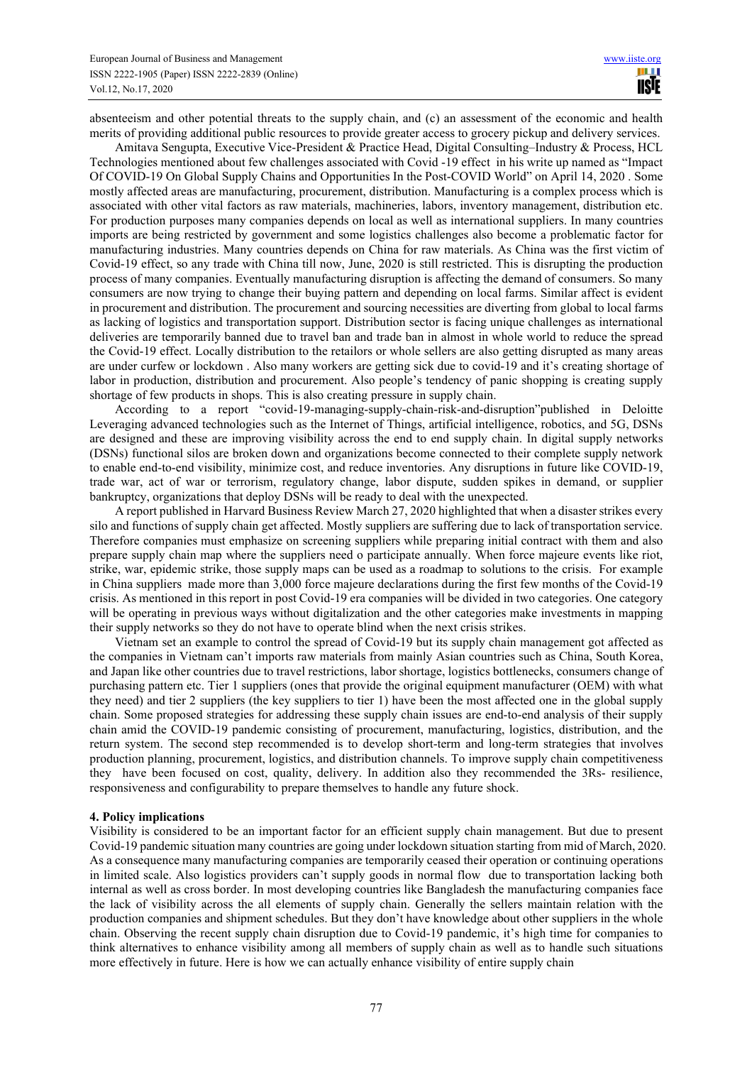absenteeism and other potential threats to the supply chain, and (c) an assessment of the economic and health merits of providing additional public resources to provide greater access to grocery pickup and delivery services.

Amitava Sengupta, Executive Vice-President & Practice Head, Digital Consulting–Industry & Process, HCL Technologies mentioned about few challenges associated with Covid -19 effect in his write up named as "Impact Of COVID-19 On Global Supply Chains and Opportunities In the Post-COVID World" on April 14, 2020 . Some mostly affected areas are manufacturing, procurement, distribution. Manufacturing is a complex process which is associated with other vital factors as raw materials, machineries, labors, inventory management, distribution etc. For production purposes many companies depends on local as well as international suppliers. In many countries imports are being restricted by government and some logistics challenges also become a problematic factor for manufacturing industries. Many countries depends on China for raw materials. As China was the first victim of Covid-19 effect, so any trade with China till now, June, 2020 is still restricted. This is disrupting the production process of many companies. Eventually manufacturing disruption is affecting the demand of consumers. So many consumers are now trying to change their buying pattern and depending on local farms. Similar affect is evident in procurement and distribution. The procurement and sourcing necessities are diverting from global to local farms as lacking of logistics and transportation support. Distribution sector is facing unique challenges as international deliveries are temporarily banned due to travel ban and trade ban in almost in whole world to reduce the spread the Covid-19 effect. Locally distribution to the retailors or whole sellers are also getting disrupted as many areas are under curfew or lockdown . Also many workers are getting sick due to covid-19 and it's creating shortage of labor in production, distribution and procurement. Also people's tendency of panic shopping is creating supply shortage of few products in shops. This is also creating pressure in supply chain.

According to a report "covid-19-managing-supply-chain-risk-and-disruption"published in Deloitte Leveraging advanced technologies such as the Internet of Things, artificial intelligence, robotics, and 5G, DSNs are designed and these are improving visibility across the end to end supply chain. In digital supply networks (DSNs) functional silos are broken down and organizations become connected to their complete supply network to enable end-to-end visibility, minimize cost, and reduce inventories. Any disruptions in future like COVID-19, trade war, act of war or terrorism, regulatory change, labor dispute, sudden spikes in demand, or supplier bankruptcy, organizations that deploy DSNs will be ready to deal with the unexpected.

A report published in Harvard Business Review March 27, 2020 highlighted that when a disaster strikes every silo and functions of supply chain get affected. Mostly suppliers are suffering due to lack of transportation service. Therefore companies must emphasize on screening suppliers while preparing initial contract with them and also prepare supply chain map where the suppliers need o participate annually. When force majeure events like riot, strike, war, epidemic strike, those supply maps can be used as a roadmap to solutions to the crisis. For example in China suppliers made more than 3,000 force majeure declarations during the first few months of the Covid-19 crisis. As mentioned in this report in post Covid-19 era companies will be divided in two categories. One category will be operating in previous ways without digitalization and the other categories make investments in mapping their supply networks so they do not have to operate blind when the next crisis strikes.

Vietnam set an example to control the spread of Covid-19 but its supply chain management got affected as the companies in Vietnam can't imports raw materials from mainly Asian countries such as China, South Korea, and Japan like other countries due to travel restrictions, labor shortage, logistics bottlenecks, consumers change of purchasing pattern etc. Tier 1 suppliers (ones that provide the original equipment manufacturer (OEM) with what they need) and tier 2 suppliers (the key suppliers to tier 1) have been the most affected one in the global supply chain. Some proposed strategies for addressing these supply chain issues are end-to-end analysis of their supply chain amid the COVID-19 pandemic consisting of procurement, manufacturing, logistics, distribution, and the return system. The second step recommended is to develop short-term and long-term strategies that involves production planning, procurement, logistics, and distribution channels. To improve supply chain competitiveness they have been focused on cost, quality, delivery. In addition also they recommended the 3Rs- resilience, responsiveness and configurability to prepare themselves to handle any future shock.

#### **4. Policy implications**

Visibility is considered to be an important factor for an efficient supply chain management. But due to present Covid-19 pandemic situation many countries are going under lockdown situation starting from mid of March, 2020. As a consequence many manufacturing companies are temporarily ceased their operation or continuing operations in limited scale. Also logistics providers can't supply goods in normal flow due to transportation lacking both internal as well as cross border. In most developing countries like Bangladesh the manufacturing companies face the lack of visibility across the all elements of supply chain. Generally the sellers maintain relation with the production companies and shipment schedules. But they don't have knowledge about other suppliers in the whole chain. Observing the recent supply chain disruption due to Covid-19 pandemic, it's high time for companies to think alternatives to enhance visibility among all members of supply chain as well as to handle such situations more effectively in future. Here is how we can actually enhance visibility of entire supply chain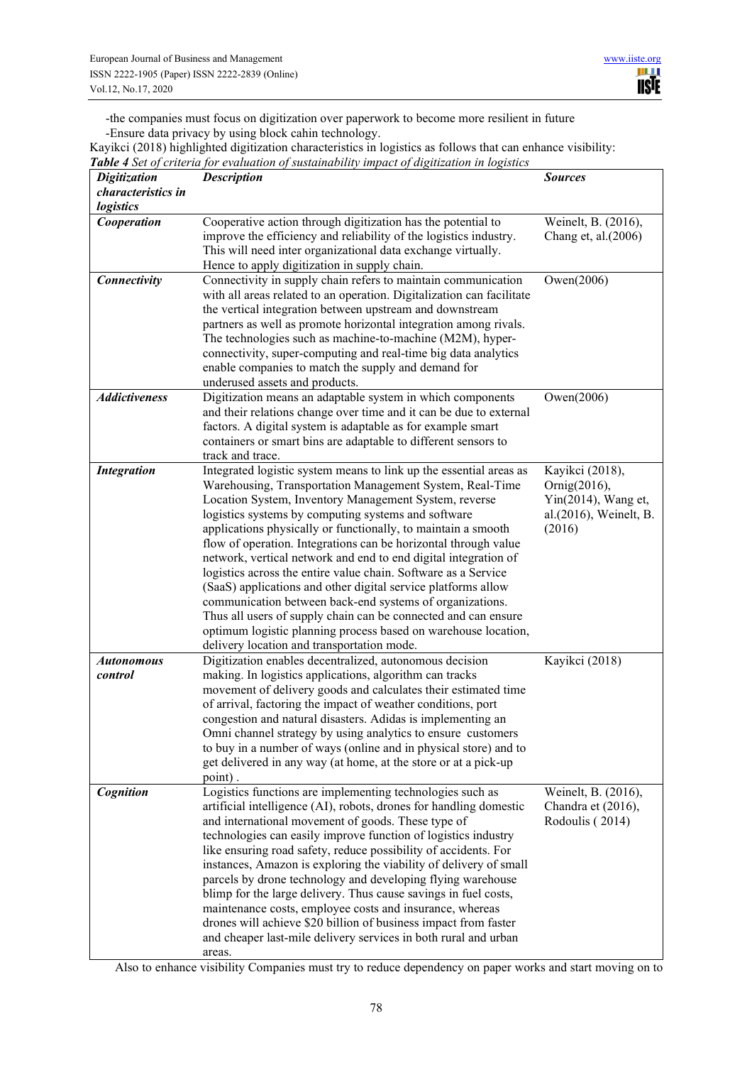-the companies must focus on digitization over paperwork to become more resilient in future -Ensure data privacy by using block cahin technology.

Kayikci (2018) highlighted digitization characteristics in logistics as follows that can enhance visibility: *Table 4 Set of criteria for evaluation of sustainability impact of digitization in logistics* 

| <b>Digitization</b>  | <b>Description</b>                                                                                                           | <b>Sources</b>                        |
|----------------------|------------------------------------------------------------------------------------------------------------------------------|---------------------------------------|
| characteristics in   |                                                                                                                              |                                       |
| logistics            |                                                                                                                              |                                       |
| Cooperation          | Cooperative action through digitization has the potential to                                                                 | Weinelt, B. (2016),                   |
|                      | improve the efficiency and reliability of the logistics industry.                                                            | Chang et, al.(2006)                   |
|                      | This will need inter organizational data exchange virtually.                                                                 |                                       |
|                      | Hence to apply digitization in supply chain.                                                                                 |                                       |
| Connectivity         | Connectivity in supply chain refers to maintain communication                                                                | Owen(2006)                            |
|                      | with all areas related to an operation. Digitalization can facilitate                                                        |                                       |
|                      | the vertical integration between upstream and downstream<br>partners as well as promote horizontal integration among rivals. |                                       |
|                      | The technologies such as machine-to-machine (M2M), hyper-                                                                    |                                       |
|                      | connectivity, super-computing and real-time big data analytics                                                               |                                       |
|                      | enable companies to match the supply and demand for                                                                          |                                       |
|                      | underused assets and products.                                                                                               |                                       |
| <b>Addictiveness</b> | Digitization means an adaptable system in which components                                                                   | Owen(2006)                            |
|                      | and their relations change over time and it can be due to external                                                           |                                       |
|                      | factors. A digital system is adaptable as for example smart                                                                  |                                       |
|                      | containers or smart bins are adaptable to different sensors to                                                               |                                       |
|                      | track and trace.                                                                                                             |                                       |
| <b>Integration</b>   | Integrated logistic system means to link up the essential areas as                                                           | Kayikci (2018),                       |
|                      | Warehousing, Transportation Management System, Real-Time                                                                     | Ornig(2016),                          |
|                      | Location System, Inventory Management System, reverse                                                                        | Yin(2014), Wang et,                   |
|                      | logistics systems by computing systems and software                                                                          | al.(2016), Weinelt, B.                |
|                      | applications physically or functionally, to maintain a smooth                                                                | (2016)                                |
|                      | flow of operation. Integrations can be horizontal through value                                                              |                                       |
|                      | network, vertical network and end to end digital integration of                                                              |                                       |
|                      | logistics across the entire value chain. Software as a Service                                                               |                                       |
|                      | (SaaS) applications and other digital service platforms allow<br>communication between back-end systems of organizations.    |                                       |
|                      | Thus all users of supply chain can be connected and can ensure                                                               |                                       |
|                      | optimum logistic planning process based on warehouse location,                                                               |                                       |
|                      | delivery location and transportation mode.                                                                                   |                                       |
| <b>Autonomous</b>    | Digitization enables decentralized, autonomous decision                                                                      | Kayikci (2018)                        |
| control              | making. In logistics applications, algorithm can tracks                                                                      |                                       |
|                      | movement of delivery goods and calculates their estimated time                                                               |                                       |
|                      | of arrival, factoring the impact of weather conditions, port                                                                 |                                       |
|                      | congestion and natural disasters. Adidas is implementing an                                                                  |                                       |
|                      | Omni channel strategy by using analytics to ensure customers                                                                 |                                       |
|                      | to buy in a number of ways (online and in physical store) and to                                                             |                                       |
|                      | get delivered in any way (at home, at the store or at a pick-up                                                              |                                       |
|                      | point).                                                                                                                      |                                       |
| Cognition            | Logistics functions are implementing technologies such as                                                                    | Weinelt, B. (2016),                   |
|                      | artificial intelligence (AI), robots, drones for handling domestic                                                           | Chandra et (2016),<br>Rodoulis (2014) |
|                      | and international movement of goods. These type of<br>technologies can easily improve function of logistics industry         |                                       |
|                      | like ensuring road safety, reduce possibility of accidents. For                                                              |                                       |
|                      | instances, Amazon is exploring the viability of delivery of small                                                            |                                       |
|                      | parcels by drone technology and developing flying warehouse                                                                  |                                       |
|                      | blimp for the large delivery. Thus cause savings in fuel costs,                                                              |                                       |
|                      | maintenance costs, employee costs and insurance, whereas                                                                     |                                       |
|                      | drones will achieve \$20 billion of business impact from faster                                                              |                                       |
|                      | and cheaper last-mile delivery services in both rural and urban                                                              |                                       |
|                      | areas.                                                                                                                       |                                       |

Also to enhance visibility Companies must try to reduce dependency on paper works and start moving on to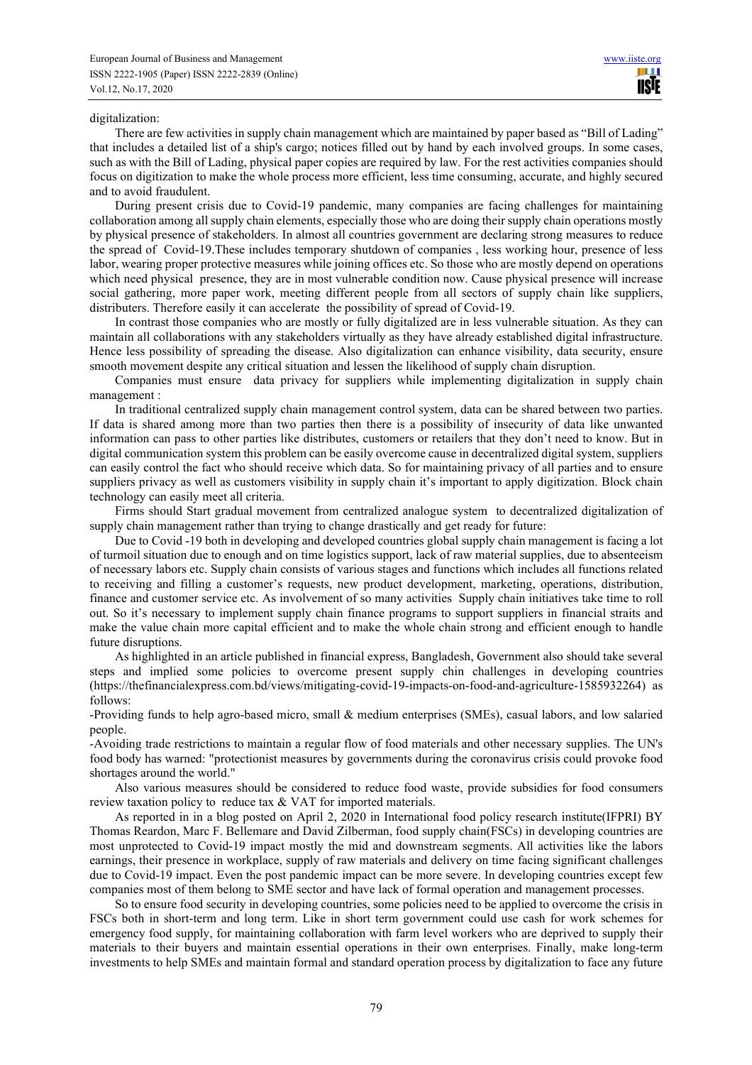#### digitalization:

There are few activities in supply chain management which are maintained by paper based as "Bill of Lading" that includes a detailed list of a ship's cargo; notices filled out by hand by each involved groups. In some cases, such as with the Bill of Lading, physical paper copies are required by law. For the rest activities companies should focus on digitization to make the whole process more efficient, less time consuming, accurate, and highly secured and to avoid fraudulent.

During present crisis due to Covid-19 pandemic, many companies are facing challenges for maintaining collaboration among all supply chain elements, especially those who are doing their supply chain operations mostly by physical presence of stakeholders. In almost all countries government are declaring strong measures to reduce the spread of Covid-19.These includes temporary shutdown of companies , less working hour, presence of less labor, wearing proper protective measures while joining offices etc. So those who are mostly depend on operations which need physical presence, they are in most vulnerable condition now. Cause physical presence will increase social gathering, more paper work, meeting different people from all sectors of supply chain like suppliers, distributers. Therefore easily it can accelerate the possibility of spread of Covid-19.

In contrast those companies who are mostly or fully digitalized are in less vulnerable situation. As they can maintain all collaborations with any stakeholders virtually as they have already established digital infrastructure. Hence less possibility of spreading the disease. Also digitalization can enhance visibility, data security, ensure smooth movement despite any critical situation and lessen the likelihood of supply chain disruption.

Companies must ensure data privacy for suppliers while implementing digitalization in supply chain management :

In traditional centralized supply chain management control system, data can be shared between two parties. If data is shared among more than two parties then there is a possibility of insecurity of data like unwanted information can pass to other parties like distributes, customers or retailers that they don't need to know. But in digital communication system this problem can be easily overcome cause in decentralized digital system, suppliers can easily control the fact who should receive which data. So for maintaining privacy of all parties and to ensure suppliers privacy as well as customers visibility in supply chain it's important to apply digitization. Block chain technology can easily meet all criteria.

Firms should Start gradual movement from centralized analogue system to decentralized digitalization of supply chain management rather than trying to change drastically and get ready for future:

Due to Covid -19 both in developing and developed countries global supply chain management is facing a lot of turmoil situation due to enough and on time logistics support, lack of raw material supplies, due to absenteeism of necessary labors etc. Supply chain consists of various stages and functions which includes all functions related to receiving and filling a customer's requests, new product development, marketing, operations, distribution, finance and customer service etc. As involvement of so many activities Supply chain initiatives take time to roll out. So it's necessary to implement supply chain finance programs to support suppliers in financial straits and make the value chain more capital efficient and to make the whole chain strong and efficient enough to handle future disruptions.

As highlighted in an article published in financial express, Bangladesh, Government also should take several steps and implied some policies to overcome present supply chin challenges in developing countries (https://thefinancialexpress.com.bd/views/mitigating-covid-19-impacts-on-food-and-agriculture-1585932264) as follows:

-Providing funds to help agro-based micro, small & medium enterprises (SMEs), casual labors, and low salaried people.

-Avoiding trade restrictions to maintain a regular flow of food materials and other necessary supplies. The UN's food body has warned: "protectionist measures by governments during the coronavirus crisis could provoke food shortages around the world."

Also various measures should be considered to reduce food waste, provide subsidies for food consumers review taxation policy to reduce tax & VAT for imported materials.

As reported in in a blog posted on April 2, 2020 in International food policy research institute(IFPRI) BY Thomas Reardon, Marc F. Bellemare and David Zilberman, food supply chain(FSCs) in developing countries are most unprotected to Covid-19 impact mostly the mid and downstream segments. All activities like the labors earnings, their presence in workplace, supply of raw materials and delivery on time facing significant challenges due to Covid-19 impact. Even the post pandemic impact can be more severe. In developing countries except few companies most of them belong to SME sector and have lack of formal operation and management processes.

So to ensure food security in developing countries, some policies need to be applied to overcome the crisis in FSCs both in short-term and long term. Like in short term government could use cash for work schemes for emergency food supply, for maintaining collaboration with farm level workers who are deprived to supply their materials to their buyers and maintain essential operations in their own enterprises. Finally, make long-term investments to help SMEs and maintain formal and standard operation process by digitalization to face any future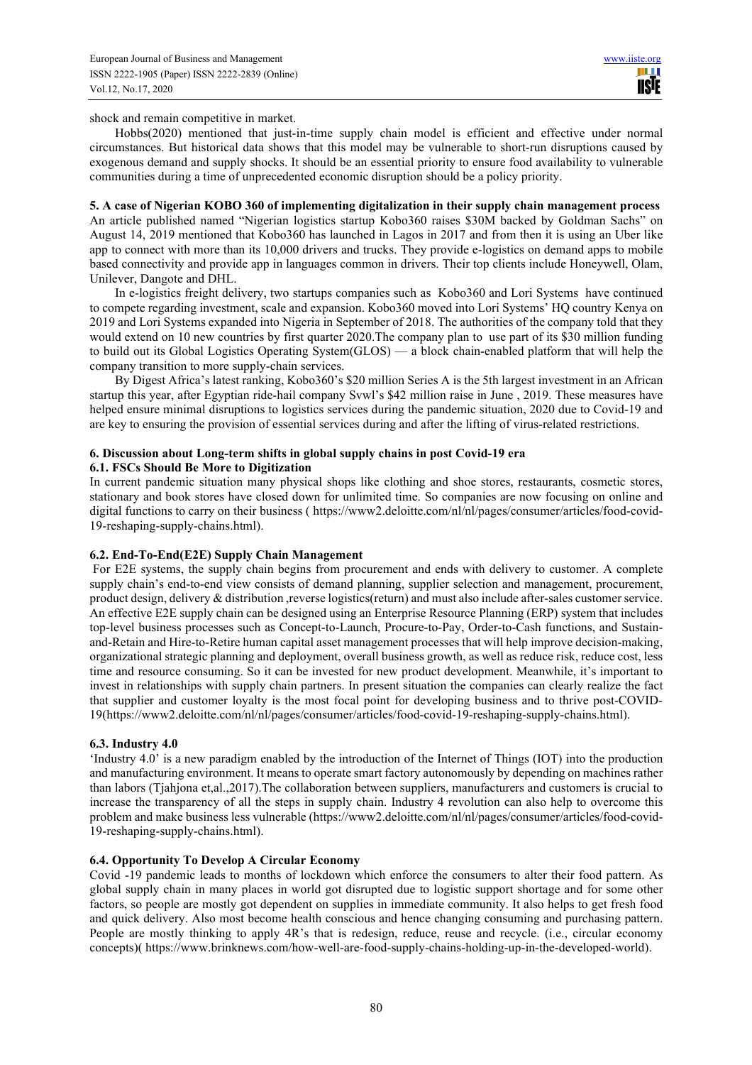shock and remain competitive in market.

Hobbs(2020) mentioned that just-in-time supply chain model is efficient and effective under normal circumstances. But historical data shows that this model may be vulnerable to short‐run disruptions caused by exogenous demand and supply shocks. It should be an essential priority to ensure food availability to vulnerable communities during a time of unprecedented economic disruption should be a policy priority.

# **5. A case of Nigerian KOBO 360 of implementing digitalization in their supply chain management process**

An article published named "Nigerian logistics startup Kobo360 raises \$30M backed by Goldman Sachs" on August 14, 2019 mentioned that Kobo360 has launched in Lagos in 2017 and from then it is using an Uber like app to connect with more than its 10,000 drivers and trucks. They provide e-logistics on demand apps to mobile based connectivity and provide app in languages common in drivers. Their top clients include Honeywell, Olam, Unilever, Dangote and DHL.

In e-logistics freight delivery, two startups companies such as Kobo360 and Lori Systems have continued to compete regarding investment, scale and expansion. Kobo360 moved into Lori Systems' HQ country Kenya on 2019 and Lori Systems expanded into Nigeria in September of 2018. The authorities of the company told that they would extend on 10 new countries by first quarter 2020.The company plan to use part of its \$30 million funding to build out its Global Logistics Operating System(GLOS) — a block chain-enabled platform that will help the company transition to more supply-chain services.

By Digest Africa's latest ranking, Kobo360's \$20 million Series A is the 5th largest investment in an African startup this year, after Egyptian ride-hail company Svwl's \$42 million raise in June , 2019. These measures have helped ensure minimal disruptions to logistics services during the pandemic situation, 2020 due to Covid-19 and are key to ensuring the provision of essential services during and after the lifting of virus-related restrictions.

#### **6. Discussion about Long-term shifts in global supply chains in post Covid-19 era 6.1. FSCs Should Be More to Digitization**

In current pandemic situation many physical shops like clothing and shoe stores, restaurants, cosmetic stores, stationary and book stores have closed down for unlimited time. So companies are now focusing on online and digital functions to carry on their business ( https://www2.deloitte.com/nl/nl/pages/consumer/articles/food-covid-19-reshaping-supply-chains.html).

## **6.2. End-To-End(E2E) Supply Chain Management**

 For E2E systems, the supply chain begins from procurement and ends with delivery to customer. A complete supply chain's end-to-end view consists of demand planning, supplier selection and management, procurement, product design, delivery & distribution ,reverse logistics(return) and must also include after-sales customer service. An effective E2E supply chain can be designed using an Enterprise Resource Planning (ERP) system that includes top-level business processes such as Concept-to-Launch, Procure-to-Pay, Order-to-Cash functions, and Sustainand-Retain and Hire-to-Retire human capital asset management processes that will help improve decision-making, organizational strategic planning and deployment, overall business growth, as well as reduce risk, reduce cost, less time and resource consuming. So it can be invested for new product development. Meanwhile, it's important to invest in relationships with supply chain partners. In present situation the companies can clearly realize the fact that supplier and customer loyalty is the most focal point for developing business and to thrive post-COVID-19(https://www2.deloitte.com/nl/nl/pages/consumer/articles/food-covid-19-reshaping-supply-chains.html).

## **6.3. Industry 4.0**

'Industry 4.0' is a new paradigm enabled by the introduction of the Internet of Things (IOT) into the production and manufacturing environment. It means to operate smart factory autonomously by depending on machines rather than labors (Tjahjona et,al.,2017).The collaboration between suppliers, manufacturers and customers is crucial to increase the transparency of all the steps in supply chain. Industry 4 revolution can also help to overcome this problem and make business less vulnerable (https://www2.deloitte.com/nl/nl/pages/consumer/articles/food-covid-19-reshaping-supply-chains.html).

## **6.4. Opportunity To Develop A Circular Economy**

Covid -19 pandemic leads to months of lockdown which enforce the consumers to alter their food pattern. As global supply chain in many places in world got disrupted due to logistic support shortage and for some other factors, so people are mostly got dependent on supplies in immediate community. It also helps to get fresh food and quick delivery. Also most become health conscious and hence changing consuming and purchasing pattern. People are mostly thinking to apply 4R's that is redesign, reduce, reuse and recycle. (i.e., circular economy concepts)( https://www.brinknews.com/how-well-are-food-supply-chains-holding-up-in-the-developed-world).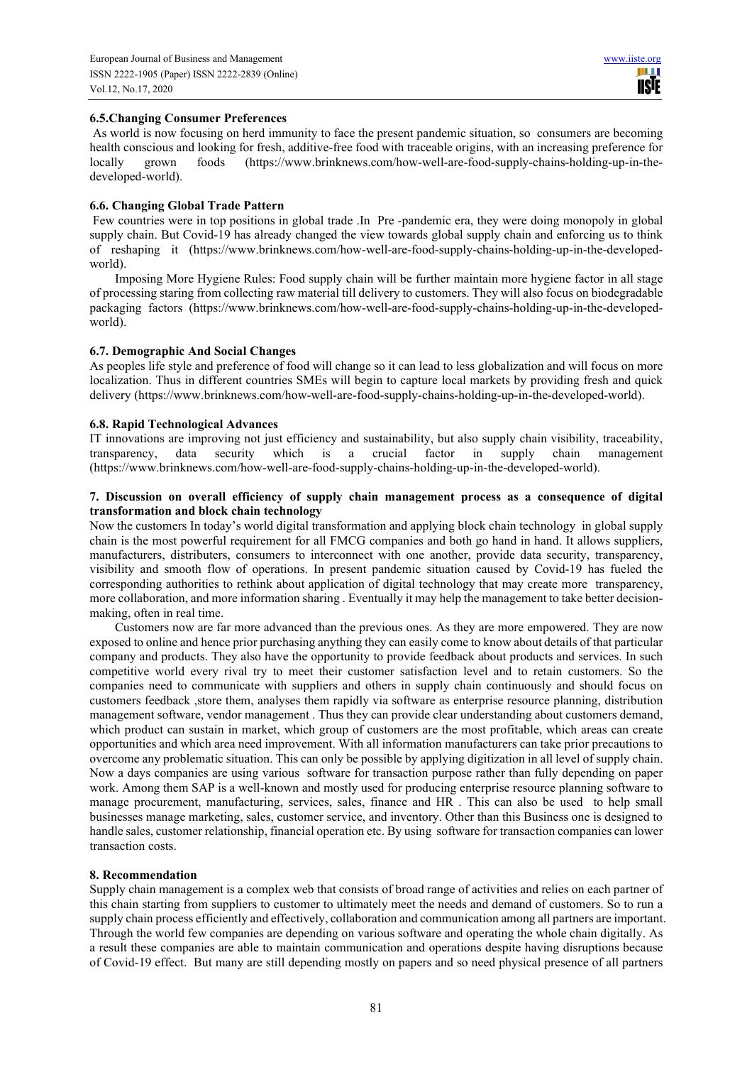# **6.5.Changing Consumer Preferences**

 As world is now focusing on herd immunity to face the present pandemic situation, so consumers are becoming health conscious and looking for fresh, additive-free food with traceable origins, with an increasing preference for locally grown foods (https://www.brinknews.com/how-well-are-food-supply-chains-holding-up-in-thedeveloped-world).

## **6.6. Changing Global Trade Pattern**

 Few countries were in top positions in global trade .In Pre -pandemic era, they were doing monopoly in global supply chain. But Covid-19 has already changed the view towards global supply chain and enforcing us to think of reshaping it (https://www.brinknews.com/how-well-are-food-supply-chains-holding-up-in-the-developedworld).

Imposing More Hygiene Rules: Food supply chain will be further maintain more hygiene factor in all stage of processing staring from collecting raw material till delivery to customers. They will also focus on biodegradable packaging factors (https://www.brinknews.com/how-well-are-food-supply-chains-holding-up-in-the-developedworld).

## **6.7. Demographic And Social Changes**

As peoples life style and preference of food will change so it can lead to less globalization and will focus on more localization. Thus in different countries SMEs will begin to capture local markets by providing fresh and quick delivery (https://www.brinknews.com/how-well-are-food-supply-chains-holding-up-in-the-developed-world).

# **6.8. Rapid Technological Advances**

IT innovations are improving not just efficiency and sustainability, but also supply chain visibility, traceability, transparency, data security which is a crucial factor in supply chain management (https://www.brinknews.com/how-well-are-food-supply-chains-holding-up-in-the-developed-world).

## **7. Discussion on overall efficiency of supply chain management process as a consequence of digital transformation and block chain technology**

Now the customers In today's world digital transformation and applying block chain technology in global supply chain is the most powerful requirement for all FMCG companies and both go hand in hand. It allows suppliers, manufacturers, distributers, consumers to interconnect with one another, provide data security, transparency, visibility and smooth flow of operations. In present pandemic situation caused by Covid-19 has fueled the corresponding authorities to rethink about application of digital technology that may create more transparency, more collaboration, and more information sharing . Eventually it may help the management to take better decisionmaking, often in real time.

Customers now are far more advanced than the previous ones. As they are more empowered. They are now exposed to online and hence prior purchasing anything they can easily come to know about details of that particular company and products. They also have the opportunity to provide feedback about products and services. In such competitive world every rival try to meet their customer satisfaction level and to retain customers. So the companies need to communicate with suppliers and others in supply chain continuously and should focus on customers feedback ,store them, analyses them rapidly via software as enterprise resource planning, distribution management software, vendor management . Thus they can provide clear understanding about customers demand, which product can sustain in market, which group of customers are the most profitable, which areas can create opportunities and which area need improvement. With all information manufacturers can take prior precautions to overcome any problematic situation. This can only be possible by applying digitization in all level of supply chain. Now a days companies are using various software for transaction purpose rather than fully depending on paper work. Among them SAP is a well-known and mostly used for producing enterprise resource planning software to manage procurement, manufacturing, services, sales, finance and HR . This can also be used to help small businesses manage marketing, sales, customer service, and inventory. Other than this Business one is designed to handle sales, customer relationship, financial operation etc. By using software for transaction companies can lower transaction costs.

## **8. Recommendation**

Supply chain management is a complex web that consists of broad range of activities and relies on each partner of this chain starting from suppliers to customer to ultimately meet the needs and demand of customers. So to run a supply chain process efficiently and effectively, collaboration and communication among all partners are important. Through the world few companies are depending on various software and operating the whole chain digitally. As a result these companies are able to maintain communication and operations despite having disruptions because of Covid-19 effect. But many are still depending mostly on papers and so need physical presence of all partners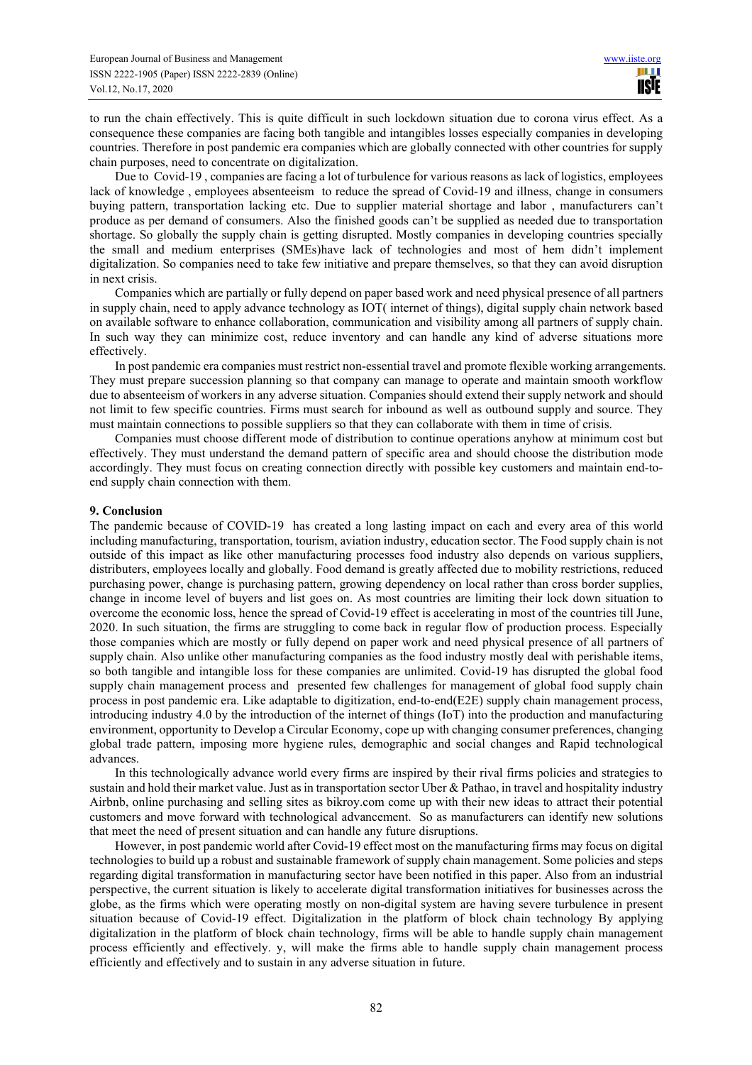to run the chain effectively. This is quite difficult in such lockdown situation due to corona virus effect. As a consequence these companies are facing both tangible and intangibles losses especially companies in developing countries. Therefore in post pandemic era companies which are globally connected with other countries for supply chain purposes, need to concentrate on digitalization.

Due to Covid-19 , companies are facing a lot of turbulence for various reasons as lack of logistics, employees lack of knowledge , employees absenteeism to reduce the spread of Covid-19 and illness, change in consumers buying pattern, transportation lacking etc. Due to supplier material shortage and labor , manufacturers can't produce as per demand of consumers. Also the finished goods can't be supplied as needed due to transportation shortage. So globally the supply chain is getting disrupted. Mostly companies in developing countries specially the small and medium enterprises (SMEs)have lack of technologies and most of hem didn't implement digitalization. So companies need to take few initiative and prepare themselves, so that they can avoid disruption in next crisis.

Companies which are partially or fully depend on paper based work and need physical presence of all partners in supply chain, need to apply advance technology as IOT( internet of things), digital supply chain network based on available software to enhance collaboration, communication and visibility among all partners of supply chain. In such way they can minimize cost, reduce inventory and can handle any kind of adverse situations more effectively.

In post pandemic era companies must restrict non-essential travel and promote flexible working arrangements. They must prepare succession planning so that company can manage to operate and maintain smooth workflow due to absenteeism of workers in any adverse situation. Companies should extend their supply network and should not limit to few specific countries. Firms must search for inbound as well as outbound supply and source. They must maintain connections to possible suppliers so that they can collaborate with them in time of crisis.

Companies must choose different mode of distribution to continue operations anyhow at minimum cost but effectively. They must understand the demand pattern of specific area and should choose the distribution mode accordingly. They must focus on creating connection directly with possible key customers and maintain end-toend supply chain connection with them.

#### **9. Conclusion**

The pandemic because of COVID-19 has created a long lasting impact on each and every area of this world including manufacturing, transportation, tourism, aviation industry, education sector. The Food supply chain is not outside of this impact as like other manufacturing processes food industry also depends on various suppliers, distributers, employees locally and globally. Food demand is greatly affected due to mobility restrictions, reduced purchasing power, change is purchasing pattern, growing dependency on local rather than cross border supplies, change in income level of buyers and list goes on. As most countries are limiting their lock down situation to overcome the economic loss, hence the spread of Covid-19 effect is accelerating in most of the countries till June, 2020. In such situation, the firms are struggling to come back in regular flow of production process. Especially those companies which are mostly or fully depend on paper work and need physical presence of all partners of supply chain. Also unlike other manufacturing companies as the food industry mostly deal with perishable items, so both tangible and intangible loss for these companies are unlimited. Covid-19 has disrupted the global food supply chain management process and presented few challenges for management of global food supply chain process in post pandemic era. Like adaptable to digitization, end-to-end(E2E) supply chain management process, introducing industry 4.0 by the introduction of the internet of things (IoT) into the production and manufacturing environment, opportunity to Develop a Circular Economy, cope up with changing consumer preferences, changing global trade pattern, imposing more hygiene rules, demographic and social changes and Rapid technological advances.

In this technologically advance world every firms are inspired by their rival firms policies and strategies to sustain and hold their market value. Just as in transportation sector Uber & Pathao, in travel and hospitality industry Airbnb, online purchasing and selling sites as bikroy.com come up with their new ideas to attract their potential customers and move forward with technological advancement. So as manufacturers can identify new solutions that meet the need of present situation and can handle any future disruptions.

However, in post pandemic world after Covid-19 effect most on the manufacturing firms may focus on digital technologies to build up a robust and sustainable framework of supply chain management. Some policies and steps regarding digital transformation in manufacturing sector have been notified in this paper. Also from an industrial perspective, the current situation is likely to accelerate digital transformation initiatives for businesses across the globe, as the firms which were operating mostly on non-digital system are having severe turbulence in present situation because of Covid-19 effect. Digitalization in the platform of block chain technology By applying digitalization in the platform of block chain technology, firms will be able to handle supply chain management process efficiently and effectively. y, will make the firms able to handle supply chain management process efficiently and effectively and to sustain in any adverse situation in future.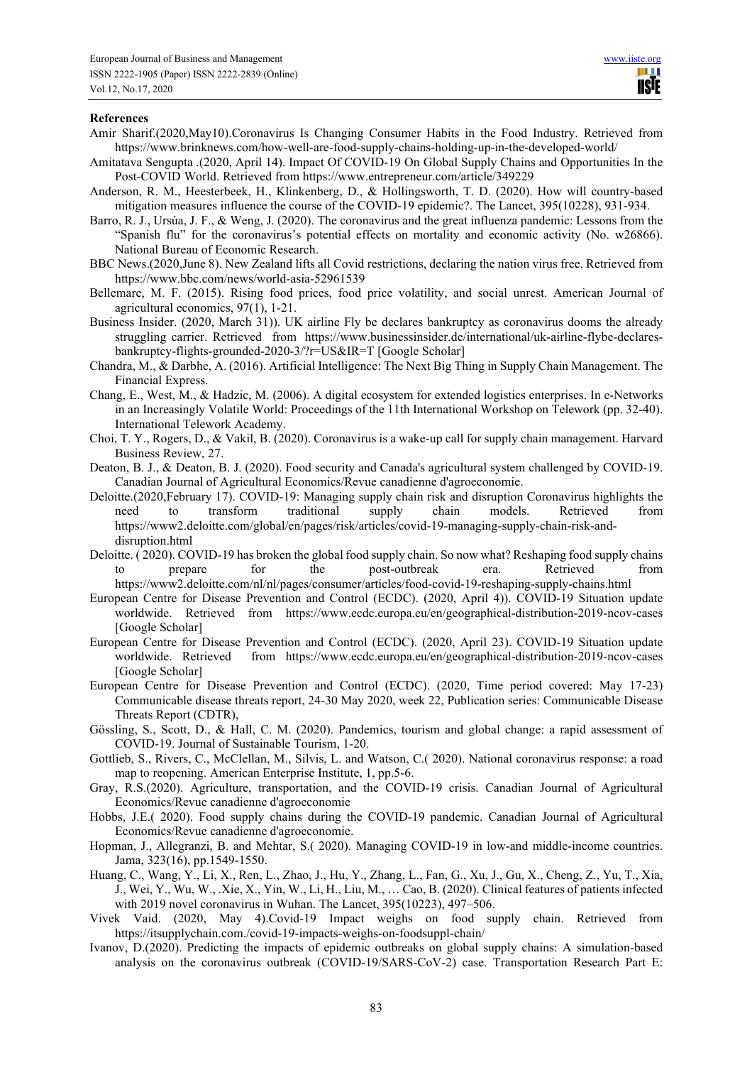#### **References**

- Amir Sharif.(2020,May10).Coronavirus Is Changing Consumer Habits in the Food Industry. Retrieved from https://www.brinknews.com/how-well-are-food-supply-chains-holding-up-in-the-developed-world/
- Amitatava Sengupta .(2020, April 14). Impact Of COVID-19 On Global Supply Chains and Opportunities In the Post-COVID World. Retrieved from https://www.entrepreneur.com/article/349229
- Anderson, R. M., Heesterbeek, H., Klinkenberg, D., & Hollingsworth, T. D. (2020). How will country-based mitigation measures influence the course of the COVID-19 epidemic?. The Lancet, 395(10228), 931-934.
- Barro, R. J., Ursúa, J. F., & Weng, J. (2020). The coronavirus and the great influenza pandemic: Lessons from the "Spanish flu" for the coronavirus's potential effects on mortality and economic activity (No. w26866). National Bureau of Economic Research.
- BBC News.(2020,June 8). New Zealand lifts all Covid restrictions, declaring the nation virus free. Retrieved from https://www.bbc.com/news/world-asia-52961539
- Bellemare, M. F. (2015). Rising food prices, food price volatility, and social unrest. American Journal of agricultural economics, 97(1), 1-21.
- Business Insider. (2020, March 31)). UK airline Fly be declares bankruptcy as coronavirus dooms the already struggling carrier. Retrieved from https://www.businessinsider.de/international/uk-airline-flybe-declaresbankruptcy-flights-grounded-2020-3/?r=US&IR=T [Google Scholar]
- Chandra, M., & Darbhe, A. (2016). Artificial Intelligence: The Next Big Thing in Supply Chain Management. The Financial Express.
- Chang, E., West, M., & Hadzic, M. (2006). A digital ecosystem for extended logistics enterprises. In e-Networks in an Increasingly Volatile World: Proceedings of the 11th International Workshop on Telework (pp. 32-40). International Telework Academy.
- Choi, T. Y., Rogers, D., & Vakil, B. (2020). Coronavirus is a wake-up call for supply chain management. Harvard Business Review, 27.
- Deaton, B. J., & Deaton, B. J. (2020). Food security and Canada's agricultural system challenged by COVID‐19. Canadian Journal of Agricultural Economics/Revue canadienne d'agroeconomie.
- Deloitte.(2020,February 17). COVID-19: Managing supply chain risk and disruption Coronavirus highlights the need to transform traditional supply chain models. Retrieved from https://www2.deloitte.com/global/en/pages/risk/articles/covid-19-managing-supply-chain-risk-anddisruption.html
- Deloitte. ( 2020). COVID-19 has broken the global food supply chain. So now what? Reshaping food supply chains to prepare for the post-outbreak era. Retrieved from https://www2.deloitte.com/nl/nl/pages/consumer/articles/food-covid-19-reshaping-supply-chains.html
- European Centre for Disease Prevention and Control (ECDC). (2020, April 4)). COVID-19 Situation update worldwide. Retrieved from https://www.ecdc.europa.eu/en/geographical-distribution-2019-ncov-cases [Google Scholar]
- European Centre for Disease Prevention and Control (ECDC). (2020, April 23). COVID-19 Situation update worldwide. Retrieved from https://www.ecdc.europa.eu/en/geographical-distribution-2019-ncov-cases [Google Scholar]
- European Centre for Disease Prevention and Control (ECDC). (2020, Time period covered: May 17-23) Communicable disease threats report, 24-30 May 2020, week 22, Publication series: Communicable Disease Threats Report (CDTR),
- Gössling, S., Scott, D., & Hall, C. M. (2020). Pandemics, tourism and global change: a rapid assessment of COVID-19. Journal of Sustainable Tourism, 1-20.
- Gottlieb, S., Rivers, C., McClellan, M., Silvis, L. and Watson, C.( 2020). National coronavirus response: a road map to reopening. American Enterprise Institute, 1, pp.5-6.
- Gray, R.S.(2020). Agriculture, transportation, and the COVID‐19 crisis. Canadian Journal of Agricultural Economics/Revue canadienne d'agroeconomie
- Hobbs, J.E.( 2020). Food supply chains during the COVID‐19 pandemic. Canadian Journal of Agricultural Economics/Revue canadienne d'agroeconomie.
- Hopman, J., Allegranzi, B. and Mehtar, S.( 2020). Managing COVID-19 in low-and middle-income countries. Jama, 323(16), pp.1549-1550.
- Huang, C., Wang, Y., Li, X., Ren, L., Zhao, J., Hu, Y., Zhang, L., Fan, G., Xu, J., Gu, X., Cheng, Z., Yu, T., Xia, J., Wei, Y., Wu, W., .Xie, X., Yin, W., Li, H., Liu, M., … Cao, B. (2020). Clinical features of patients infected with 2019 novel coronavirus in Wuhan. The Lancet, 395(10223), 497–506.
- Vivek Vaid. (2020, May 4).Covid-19 Impact weighs on food supply chain. Retrieved from https://itsupplychain.com./covid-19-impacts-weighs-on-foodsuppl-chain/
- Ivanov, D.(2020). Predicting the impacts of epidemic outbreaks on global supply chains: A simulation-based analysis on the coronavirus outbreak (COVID-19/SARS-CoV-2) case. Transportation Research Part E: